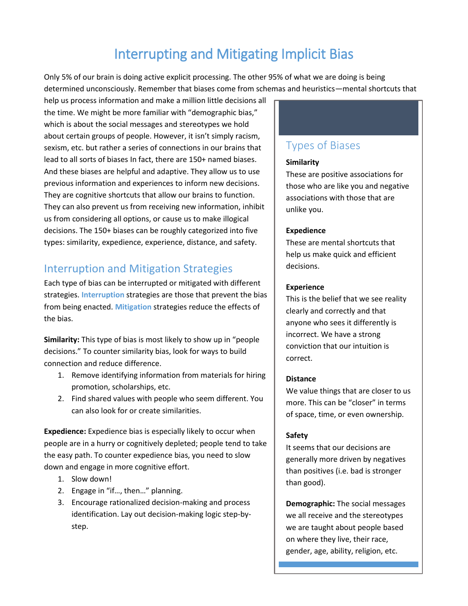# Interrupting and Mitigating Implicit Bias

Only 5% of our brain is doing active explicit processing. The other 95% of what we are doing is being determined unconsciously. Remember that biases come from schemas and heuristics—mental shortcuts that

help us process information and make a million little decisions all the time. We might be more familiar with "demographic bias," which is about the social messages and stereotypes we hold about certain groups of people. However, it isn't simply racism, sexism, etc. but rather a series of connections in our brains that lead to all sorts of biases In fact, there are 150+ named biases. And these biases are helpful and adaptive. They allow us to use previous information and experiences to inform new decisions. They are cognitive shortcuts that allow our brains to function. They can also prevent us from receiving new information, inhibit us from considering all options, or cause us to make illogical decisions. The 150+ biases can be roughly categorized into five types: similarity, expedience, experience, distance, and safety.

## Interruption and Mitigation Strategies

Each type of bias can be interrupted or mitigated with different strategies. **Interruption** strategies are those that prevent the bias from being enacted. **Mitigation** strategies reduce the effects of the bias.

**Similarity:** This type of bias is most likely to show up in "people decisions." To counter similarity bias, look for ways to build connection and reduce difference.

- 1. Remove identifying information from materials for hiring promotion, scholarships, etc.
- 2. Find shared values with people who seem different. You can also look for or create similarities.

**Expedience:** Expedience bias is especially likely to occur when people are in a hurry or cognitively depleted; people tend to take the easy path. To counter expedience bias, you need to slow down and engage in more cognitive effort.

- 1. Slow down!
- 2. Engage in "if…, then…" planning.
- 3. Encourage rationalized decision-making and process identification. Lay out decision-making logic step-bystep.

### Types of Biases

#### **Similarity**

These are positive associations for those who are like you and negative associations with those that are unlike you.

#### **Expedience**

These are mental shortcuts that help us make quick and efficient decisions.

#### **Experience**

This is the belief that we see reality clearly and correctly and that anyone who sees it differently is incorrect. We have a strong conviction that our intuition is correct.

#### **Distance**

We value things that are closer to us more. This can be "closer" in terms of space, time, or even ownership.

#### **Safety**

It seems that our decisions are generally more driven by negatives than positives (i.e. bad is stronger than good).

**Demographic:** The social messages we all receive and the stereotypes we are taught about people based on where they live, their race, gender, age, ability, religion, etc.